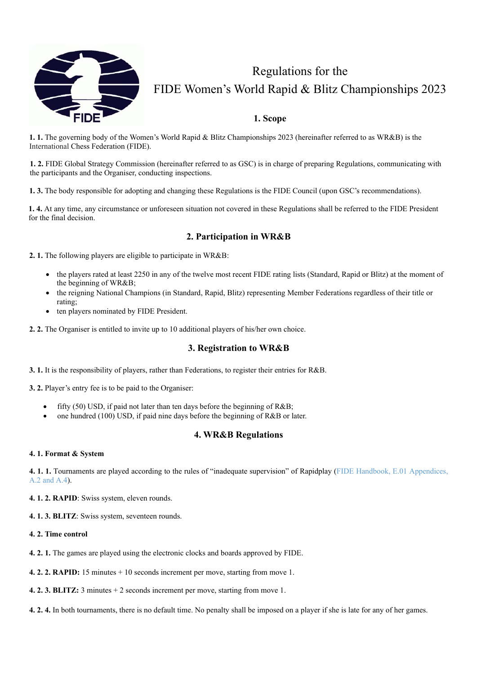

## Regulations for the FIDE Women's World Rapid & Blitz Championships 2023

## **1. Scope**

**1. 1.** The governing body of the Women's World Rapid & Blitz Championships 2023 (hereinafter referred to as WR&B) is the International Chess Federation (FIDE).

**1. 2.** FIDE Global Strategy Commission (hereinafter referred to as GSC) is in charge of preparing Regulations, communicating with the participants and the Organiser, conducting inspections.

**1. 3.** The body responsible for adopting and changing these Regulations is the FIDE Council (upon GSC's recommendations).

**1. 4.** At any time, any circumstance or unforeseen situation not covered in these Regulations shall be referred to the FIDE President for the final decision.

## **2. Participation in WR&B**

**2. 1.** The following players are eligible to participate in WR&B:

- the players rated at least 2250 in any of the twelve most recent FIDE rating lists (Standard, Rapid or Blitz) at the moment of the beginning of WR&B;
- the reigning National Champions (in Standard, Rapid, Blitz) representing Member Federations regardless of their title or rating;
- ten players nominated by FIDE President.
- **2. 2.** The Organiser is entitled to invite up to 10 additional players of his/her own choice.

#### **3. Registration to WR&B**

**3. 1.** It is the responsibility of players, rather than Federations, to register their entries for R&B.

**3. 2.** Player's entry fee is to be paid to the Organiser:

- fifty (50) USD, if paid not later than ten days before the beginning of R&B;
- one hundred (100) USD, if paid nine days before the beginning of R&B or later.

## **4. WR&B Regulations**

#### **4. 1. Format & System**

**4. 1. 1.** Tournaments are played according to the rules of "inadequate supervision" of Rapidplay (FIDE Handbook, E.01 Appendices, A.2 and A.4).

**4. 1. 2. RAPID**: Swiss system, eleven rounds.

**4. 1. 3. BLITZ**: Swiss system, seventeen rounds.

#### **4. 2. Time control**

- **4. 2. 1.** The games are played using the electronic clocks and boards approved by FIDE.
- **4. 2. 2. RAPID:** 15 minutes + 10 seconds increment per move, starting from move 1.
- **4. 2. 3. BLITZ:** 3 minutes + 2 seconds increment per move, starting from move 1.
- **4. 2. 4.** In both tournaments, there is no default time. No penalty shall be imposed on a player if she is late for any of her games.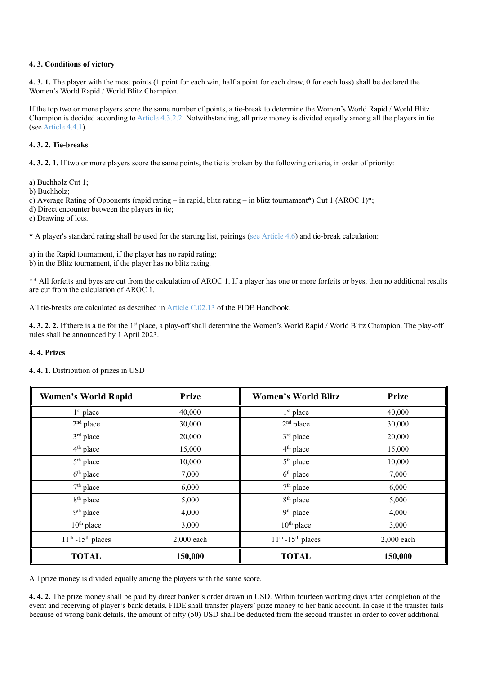#### **4. 3. Conditions of victory**

**4. 3. 1.** The player with the most points (1 point for each win, half a point for each draw, 0 for each loss) shall be declared the Women's World Rapid / World Blitz Champion.

If the top two or more players score the same number of points, a tie-break to determine the Women's World Rapid / World Blitz Champion is decided according to Article 4.3.2.2. Notwithstanding, all prize money is divided equally among all the players in tie (see Article 4.4.1).

#### **4. 3. 2. Tie-breaks**

**4. 3. 2. 1.** If two or more players score the same points, the tie is broken by the following criteria, in order of priority:

a) Buchholz Cut 1;

b) Buchholz;

c) Average Rating of Opponents (rapid rating – in rapid, blitz rating – in blitz tournament\*) Cut 1 (AROC 1)\*;

d) Direct encounter between the players in tie;

e) Drawing of lots.

**\*** A player's standard rating shall be used for the starting list, pairings (see Article 4.6) and tie-break calculation:

a) in the Rapid tournament, if the player has no rapid rating;

b) in the Blitz tournament, if the player has no blitz rating.

\*\* All forfeits and byes are cut from the calculation of AROC 1. If a player has one or more forfeits or byes, then no additional results are cut from the calculation of AROC 1.

All tie-breaks are calculated as described in Article C.02.13 of the FIDE Handbook.

**4. 3. 2. 2.** If there is a tie for the 1st place, a play-off shall determine the Women's World Rapid / World Blitz Champion. The play-off rules shall be announced by 1 April 2023.

#### **4. 4. Prizes**

| <b>Women's World Rapid</b> | Prize      | <b>Women's World Blitz</b> | <b>Prize</b> |
|----------------------------|------------|----------------------------|--------------|
| $1st$ place                | 40,000     | $1st$ place                | 40,000       |
| $2nd$ place                | 30,000     | $2nd$ place                | 30,000       |
| 3rd place                  | 20,000     | 3rd place                  | 20,000       |
| 4 <sup>th</sup> place      | 15,000     | $4th$ place                | 15,000       |
| 5 <sup>th</sup> place      | 10,000     | 5 <sup>th</sup> place      | 10,000       |
| $6th$ place                | 7,000      | $6th$ place                | 7,000        |
| $7th$ place                | 6,000      | $7th$ place                | 6,000        |
| 8 <sup>th</sup> place      | 5,000      | 8 <sup>th</sup> place      | 5,000        |
| 9 <sup>th</sup> place      | 4,000      | 9 <sup>th</sup> place      | 4,000        |
| $10^{th}$ place            | 3,000      | $10th$ place               | 3,000        |
| $11th - 15th$ places       | 2,000 each | $11th - 15th$ places       | 2,000 each   |
| <b>TOTAL</b>               | 150,000    | <b>TOTAL</b>               | 150,000      |

## **4. 4. 1.** Distribution of prizes in USD

All prize money is divided equally among the players with the same score.

**4. 4. 2.** The prize money shall be paid by direct banker's order drawn in USD. Within fourteen working days after completion of the event and receiving of player's bank details, FIDE shall transfer players' prize money to her bank account. In case if the transfer fails because of wrong bank details, the amount of fifty (50) USD shall be deducted from the second transfer in order to cover additional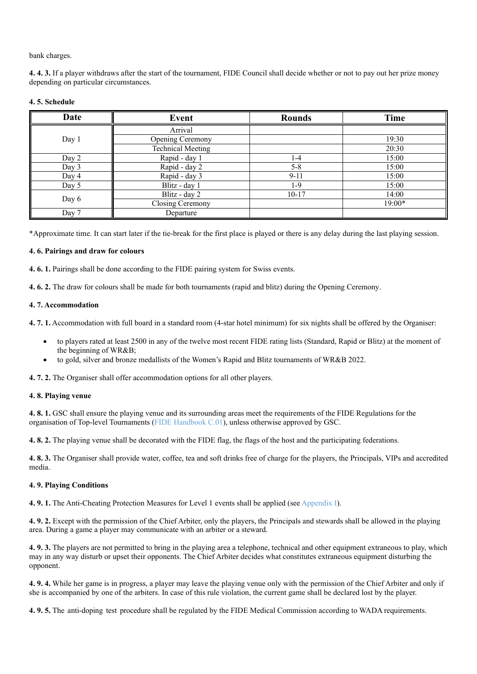bank charges.

**4. 4. 3.** If a player withdraws after the start of the tournament, FIDE Council shall decide whether or not to pay out her prize money depending on particular circumstances.

| Date  | Event                    | <b>Rounds</b> | Time   |
|-------|--------------------------|---------------|--------|
| Day 1 | Arrival                  |               |        |
|       | Opening Ceremony         |               | 19:30  |
|       | <b>Technical Meeting</b> |               | 20:30  |
| Day 2 | Rapid - day 1            | 1-4           | 15:00  |
| Day 3 | Rapid - day 2            | $5 - 8$       | 15:00  |
| Day 4 | Rapid - day 3            | $9 - 11$      | 15:00  |
| Day 5 | Blitz - day 1            | $1-9$         | 15:00  |
| Day 6 | Blitz - day 2            | $10 - 17$     | 14:00  |
|       | Closing Ceremony         |               | 19:00* |
| Day 7 | Departure                |               |        |

#### **4. 5. Schedule**

\*Approximate time. It can start later if the tie-break for the first place is played or there is any delay during the last playing session.

#### **4. 6. Pairings and draw for colours**

**4. 6. 1.** Pairings shall be done according to the FIDE pairing system for Swiss events.

**4. 6. 2.** The draw for colours shall be made for both tournaments (rapid and blitz) during the Opening Ceremony.

#### **4. 7. Accommodation**

**4. 7. 1.** Accommodation with full board in a standard room (4-star hotel minimum) for six nights shall be offered by the Organiser:

- to players rated at least 2500 in any of the twelve most recent FIDE rating lists (Standard, Rapid or Blitz) at the moment of the beginning of WR&B;
- to gold, silver and bronze medallists of the Women's Rapid and Blitz tournaments of WR&B 2022.

**4. 7. 2.** The Organiser shall offer accommodation options for all other players.

#### **4. 8. Playing venue**

**4. 8. 1.** GSC shall ensure the playing venue and its surrounding areas meet the requirements of the FIDE Regulations for the organisation of Top-level Tournaments (FIDE Handbook C.01), unless otherwise approved by GSC.

**4. 8. 2.** The playing venue shall be decorated with the FIDE flag, the flags of the host and the participating federations.

**4. 8. 3.** The Organiser shall provide water, coffee, tea and soft drinks free of charge for the players, the Principals, VIPs and accredited media.

#### **4. 9. Playing Conditions**

**4. 9. 1.** The Anti-Cheating Protection Measures for Level 1 events shall be applied (see Appendix I).

**4. 9. 2.** Except with the permission of the Chief Arbiter, only the players, the Principals and stewards shall be allowed in the playing area. During a game a player may communicate with an arbiter or a steward.

**4. 9. 3.** The players are not permitted to bring in the playing area a telephone, technical and other equipment extraneous to play, which may in any way disturb or upset their opponents. The Chief Arbiter decides what constitutes extraneous equipment disturbing the opponent.

**4. 9. 4.** While her game is in progress, a player may leave the playing venue only with the permission of the Chief Arbiter and only if she is accompanied by one of the arbiters. In case of this rule violation, the current game shall be declared lost by the player.

**4. 9. 5.** The anti-doping test procedure shall be regulated by the FIDE Medical Commission according to WADA requirements.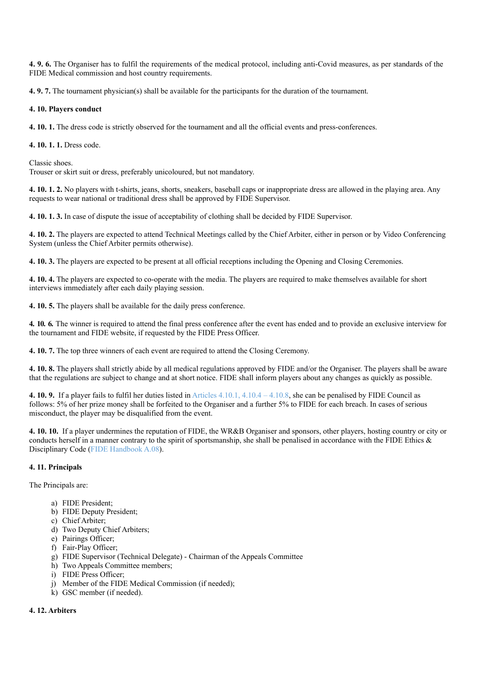**4. 9. 6.** The Organiser has to fulfil the requirements of the medical protocol, including anti-Covid measures, as per standards of the FIDE Medical commission and host country requirements.

**4. 9. 7.** The tournament physician(s) shall be available for the participants for the duration of the tournament.

#### **4. 10. Players conduct**

**4. 10. 1.** The dress code is strictly observed for the tournament and all the official events and press-conferences.

**4. 10. 1. 1.** Dress code.

Classic shoes.

Trouser or skirt suit or dress, preferably unicoloured, but not mandatory.

**4. 10. 1. 2.** No players with t-shirts, jeans, shorts, sneakers, baseball caps or inappropriate dress are allowed in the playing area. Any requests to wear national or traditional dress shall be approved by FIDE Supervisor.

**4. 10. 1. 3.** In case of dispute the issue of acceptability of clothing shall be decided by FIDE Supervisor.

**4. 10. 2.** The players are expected to attend Technical Meetings called by the Chief Arbiter, either in person or by Video Conferencing System (unless the Chief Arbiter permits otherwise).

**4. 10. 3.** The players are expected to be present at all official receptions including the Opening and Closing Ceremonies.

**4. 10. 4.** The players are expected to co-operate with the media. The players are required to make themselves available for short interviews immediately after each daily playing session.

**4. 10. 5.** The players shall be available for the daily press conference.

**4. 10. 6.** The winner is required to attend the final press conference after the event has ended and to provide an exclusive interview for the tournament and FIDE website, if requested by the FIDE Press Officer.

**4. 10. 7.** The top three winners of each event are required to attend the Closing Ceremony.

**4. 10. 8.** The players shall strictly abide by all medical regulations approved by FIDE and/or the Organiser. The players shall be aware that the regulations are subject to change and at short notice. FIDE shall inform players about any changes as quickly as possible.

**4. 10. 9.** If a player fails to fulfil her duties listed in Articles 4.10.1, 4.10.4 – 4.10.8, she can be penalised by FIDE Council as follows: 5% of her prize money shall be forfeited to the Organiser and a further 5% to FIDE for each breach. In cases of serious misconduct, the player may be disqualified from the event.

**4. 10. 10.** If a player undermines the reputation of FIDE, the WR&B Organiser and sponsors, other players, hosting country or city or conducts herself in a manner contrary to the spirit of sportsmanship, she shall be penalised in accordance with the FIDE Ethics & Disciplinary Code (FIDE Handbook A.08).

#### **4. 11. Principals**

The Principals are:

- a) FIDE President;
- b) FIDE Deputy President;
- c) Chief Arbiter;
- d) Two Deputy Chief Arbiters;
- e) Pairings Officer;
- f) Fair-Play Officer;
- g) FIDE Supervisor (Technical Delegate) Chairman of the Appeals Committee
- h) Two Appeals Committee members;
- i) FIDE Press Officer;
- j) Member of the FIDE Medical Commission (if needed);
- k) GSC member (if needed).

#### **4. 12. Arbiters**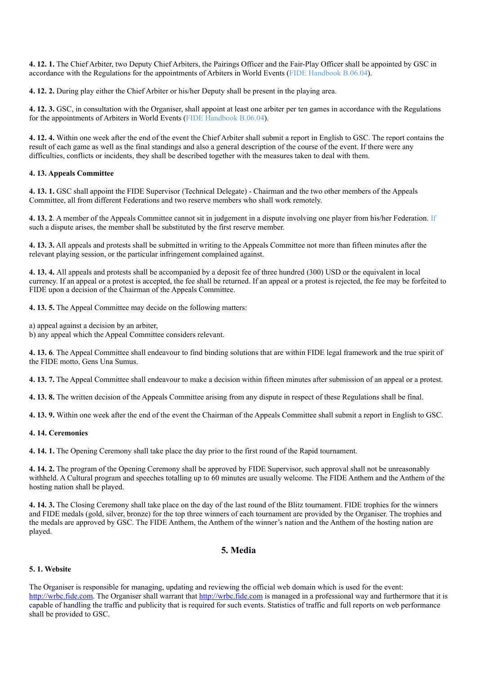**4. 12. 1.** The Chief Arbiter, two Deputy Chief Arbiters, the Pairings Officer and the Fair-Play Officer shall be appointed by GSC in accordance with the Regulations for the appointments of Arbiters in World Events (FIDE Handbook B.06.04).

**4. 12. 2.** During play either the Chief Arbiter or his/her Deputy shall be present in the playing area.

**4. 12. 3.** GSC, in consultation with the Organiser, shall appoint at least one arbiter per ten games in accordance with the Regulations for the appointments of Arbiters in World Events (FIDE Handbook B.06.04).

**4. 12. 4.** Within one week after the end of the event the Chief Arbiter shall submit a report in English to GSC. The report contains the result of each game as well as the final standings and also a general description of the course of the event. If there were any difficulties, conflicts or incidents, they shall be described together with the measures taken to deal with them.

#### **4. 13. Appeals Committee**

**4. 13. 1.** GSC shall appoint the FIDE Supervisor (Technical Delegate) - Chairman and the two other members of the Appeals Committee, all from different Federations and two reserve members who shall work remotely.

**4. 13. 2**. A member of the Appeals Committee cannot sit in judgement in a dispute involving one player from his/her Federation. If such a dispute arises, the member shall be substituted by the first reserve member.

**4. 13. 3.** All appeals and protests shall be submitted in writing to the Appeals Committee not more than fifteen minutes after the relevant playing session, or the particular infringement complained against.

**4. 13. 4.** All appeals and protests shall be accompanied by a deposit fee of three hundred (300) USD or the equivalent in local currency. If an appeal or a protest is accepted, the fee shall be returned. If an appeal or a protest is rejected, the fee may be forfeited to FIDE upon a decision of the Chairman of the Appeals Committee.

**4. 13. 5.** The Appeal Committee may decide on the following matters:

a) appeal against a decision by an arbiter,

b) any appeal which the Appeal Committee considers relevant.

**4. 13. 6**. The Appeal Committee shall endeavour to find binding solutions that are within FIDE legal framework and the true spirit of the FIDE motto, Gens Una Sumus.

**4. 13. 7.** The Appeal Committee shall endeavour to make a decision within fifteen minutes after submission of an appeal or a protest.

**4. 13. 8.** The written decision of the Appeals Committee arising from any dispute in respect of these Regulations shall be final.

**4. 13. 9.** Within one week after the end of the event the Chairman of the Appeals Committee shall submit a report in English to GSC.

#### **4. 14. Ceremonies**

**4. 14. 1.** The Opening Ceremony shall take place the day prior to the first round of the Rapid tournament.

**4. 14. 2.** The program of the Opening Ceremony shall be approved by FIDE Supervisor, such approval shall not be unreasonably withheld. A Cultural program and speeches totalling up to 60 minutes are usually welcome. The FIDE Anthem and the Anthem of the hosting nation shall be played.

**4. 14. 3.** The Closing Ceremony shall take place on the day of the last round of the Blitz tournament. FIDE trophies for the winners and FIDE medals (gold, silver, bronze) for the top three winners of each tournament are provided by the Organiser. The trophies and the medals are approved by GSC. The FIDE Anthem, the Anthem of the winner's nation and the Anthem of the hosting nation are played.

## **5. Media**

#### **5. 1. Website**

The Organiser is responsible for managing, updating and reviewing the official web domain which is used for the event: http://wrbc.fide.com. The Organiser shall warrant that http://wrbc.fide.com is managed in a professional way and furthermore that it is capable of handling the traffic and publicity that is required for such events. Statistics of traffic and full reports on web performance shall be provided to GSC.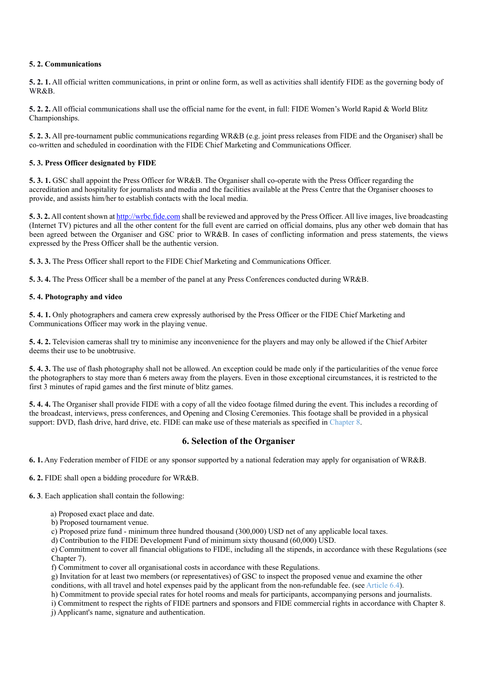#### **5. 2. Communications**

**5. 2. 1.** All official written communications, in print or online form, as well as activities shall identify FIDE as the governing body of WR&B.

**5. 2. 2.** All official communications shall use the official name for the event, in full: FIDE Women's World Rapid & World Blitz Championships.

**5. 2. 3.** All pre-tournament public communications regarding WR&B (e.g. joint press releases from FIDE and the Organiser) shall be co-written and scheduled in coordination with the FIDE Chief Marketing and Communications Officer.

#### **5. 3. Press Officer designated by FIDE**

**5. 3. 1.** GSC shall appoint the Press Officer for WR&B. The Organiser shall co-operate with the Press Officer regarding the accreditation and hospitality for journalists and media and the facilities available at the Press Centre that the Organiser chooses to provide, and assists him/her to establish contacts with the local media.

**5. 3. 2.** All content shown at http://wrbc.fide.com shall be reviewed and approved by the Press Officer. All live images, live broadcasting (Internet TV) pictures and all the other content for the full event are carried on official domains, plus any other web domain that has been agreed between the Organiser and GSC prior to WR&B. In cases of conflicting information and press statements, the views expressed by the Press Officer shall be the authentic version.

**5. 3. 3.** The Press Officer shall report to the FIDE Chief Marketing and Communications Officer.

**5. 3. 4.** The Press Officer shall be a member of the panel at any Press Conferences conducted during WR&B.

#### **5. 4. Photography and video**

**5. 4. 1.** Only photographers and camera crew expressly authorised by the Press Officer or the FIDE Chief Marketing and Communications Officer may work in the playing venue.

**5. 4. 2.** Television cameras shall try to minimise any inconvenience for the players and may only be allowed if the Chief Arbiter deems their use to be unobtrusive.

**5. 4. 3.** The use of flash photography shall not be allowed. An exception could be made only if the particularities of the venue force the photographers to stay more than 6 meters away from the players. Even in those exceptional circumstances, it is restricted to the first 3 minutes of rapid games and the first minute of blitz games.

**5. 4. 4.** The Organiser shall provide FIDE with a copy of all the video footage filmed during the event. This includes a recording of the broadcast, interviews, press conferences, and Opening and Closing Ceremonies. This footage shall be provided in a physical support: DVD, flash drive, hard drive, etc. FIDE can make use of these materials as specified in Chapter 8.

## **6. Selection of the Organiser**

**6. 1.** Any Federation member of FIDE or any sponsor supported by a national federation may apply for organisation of WR&B.

**6. 2.** FIDE shall open a bidding procedure for WR&B.

**6. 3**. Each application shall contain the following:

- a) Proposed exact place and date.
- b) Proposed tournament venue.

c) Proposed prize fund - minimum three hundred thousand (300,000) USD net of any applicable local taxes.

d) Contribution to the FIDE Development Fund of minimum sixty thousand (60,000) USD.

e) Commitment to cover all financial obligations to FIDE, including all the stipends, in accordance with these Regulations (see Chapter 7).

f) Commitment to cover all organisational costs in accordance with these Regulations.

g) Invitation for at least two members (or representatives) of GSC to inspect the proposed venue and examine the other conditions, with all travel and hotel expenses paid by the applicant from the non-refundable fee. (see Article 6.4).

h) Commitment to provide special rates for hotel rooms and meals for participants, accompanying persons and journalists.

i) Commitment to respect the rights of FIDE partners and sponsors and FIDE commercial rights in accordance with Chapter 8.

j) Applicant's name, signature and authentication.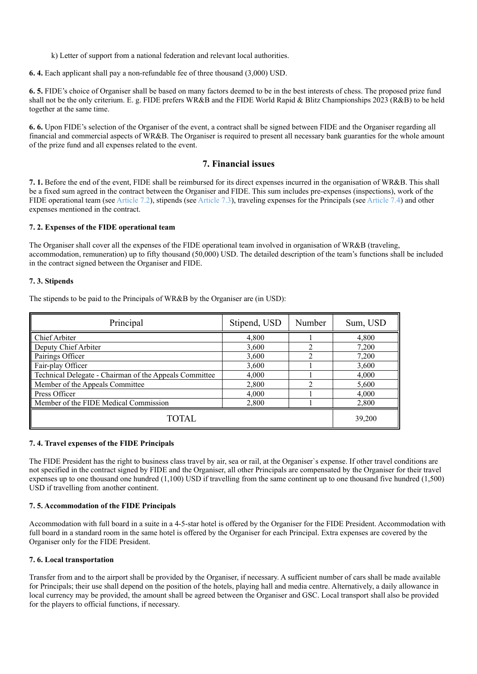k) Letter of support from a national federation and relevant local authorities.

**6. 4.** Each applicant shall pay a non-refundable fee of three thousand (3,000) USD.

**6. 5.** FIDE's choice of Organiser shall be based on many factors deemed to be in the best interests of chess. The proposed prize fund shall not be the only criterium. E. g. FIDE prefers WR&B and the FIDE World Rapid & Blitz Championships 2023 (R&B) to be held together at the same time.

**6. 6.** Upon FIDE's selection of the Organiser of the event, a contract shall be signed between FIDE and the Organiser regarding all financial and commercial aspects of WR&B. The Organiser is required to present all necessary bank guaranties for the whole amount of the prize fund and all expenses related to the event.

#### **7. Financial issues**

**7. 1.** Before the end of the event, FIDE shall be reimbursed for its direct expenses incurred in the organisation of WR&B. This shall be a fixed sum agreed in the contract between the Organiser and FIDE. This sum includes pre-expenses (inspections), work of the FIDE operational team (see Article 7.2), stipends (see Article 7.3), traveling expenses for the Principals (see Article 7.4) and other expenses mentioned in the contract.

#### **7. 2. Expenses of the FIDE operational team**

The Organiser shall cover all the expenses of the FIDE operational team involved in organisation of WR&B (traveling, accommodation, remuneration) up to fifty thousand (50,000) USD. The detailed description of the team's functions shall be included in the contract signed between the Organiser and FIDE.

#### **7. 3. Stipends**

The stipends to be paid to the Principals of WR&B by the Organiser are (in USD):

| Principal                                              | Stipend, USD | Number | Sum, USD |
|--------------------------------------------------------|--------------|--------|----------|
| Chief Arbiter                                          | 4,800        |        | 4,800    |
| Deputy Chief Arbiter                                   | 3,600        | 2      | 7,200    |
| Pairings Officer                                       | 3,600        | າ      | 7,200    |
| Fair-play Officer                                      | 3,600        |        | 3,600    |
| Technical Delegate - Chairman of the Appeals Committee | 4,000        |        | 4,000    |
| Member of the Appeals Committee                        | 2,800        |        | 5,600    |
| <b>Press Officer</b>                                   | 4,000        |        | 4,000    |
| Member of the FIDE Medical Commission                  | 2.800        |        | 2,800    |
| TOTAL                                                  | 39,200       |        |          |

#### **7. 4. Travel expenses of the FIDE Principals**

The FIDE President has the right to business class travel by air, sea or rail, at the Organiser`s expense. If other travel conditions are not specified in the contract signed by FIDE and the Organiser, all other Principals are compensated by the Organiser for their travel expenses up to one thousand one hundred (1,100) USD if travelling from the same continent up to one thousand five hundred (1,500) USD if travelling from another continent.

#### **7. 5. Accommodation of the FIDE Principals**

Accommodation with full board in a suite in a 4-5-star hotel is offered by the Organiser for the FIDE President. Accommodation with full board in a standard room in the same hotel is offered by the Organiser for each Principal. Extra expenses are covered by the Organiser only for the FIDE President.

#### **7. 6. Local transportation**

Transfer from and to the airport shall be provided by the Organiser, if necessary. A sufficient number of cars shall be made available for Principals; their use shall depend on the position of the hotels, playing hall and media centre. Alternatively, a daily allowance in local currency may be provided, the amount shall be agreed between the Organiser and GSC. Local transport shall also be provided for the players to official functions, if necessary.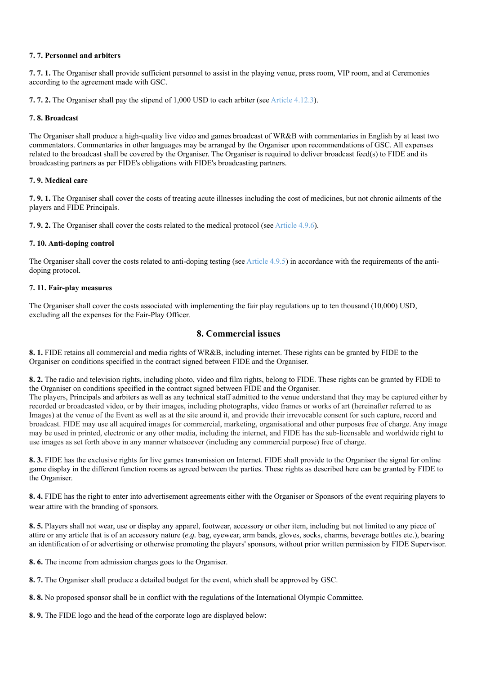#### **7. 7. Personnel and arbiters**

**7. 7. 1.** The Organiser shall provide sufficient personnel to assist in the playing venue, press room, VIP room, and at Ceremonies according to the agreement made with GSC.

**7. 7. 2.** The Organiser shall pay the stipend of 1,000 USD to each arbiter (see Article 4.12.3).

#### **7. 8. Broadcast**

The Organiser shall produce a high-quality live video and games broadcast of WR&B with commentaries in English by at least two commentators. Commentaries in other languages may be arranged by the Organiser upon recommendations of GSC. All expenses related to the broadcast shall be covered by the Organiser. The Organiser is required to deliver broadcast feed(s) to FIDE and its broadcasting partners as per FIDE's obligations with FIDE's broadcasting partners.

#### **7. 9. Medical care**

**7. 9. 1.** The Organiser shall cover the costs of treating acute illnesses including the cost of medicines, but not chronic ailments of the players and FIDE Principals.

**7. 9. 2.** The Organiser shall cover the costs related to the medical protocol (see Article 4.9.6).

#### **7. 10. Anti-doping control**

The Organiser shall cover the costs related to anti-doping testing (see Article 4.9.5) in accordance with the requirements of the antidoping protocol.

#### **7. 11. Fair-play measures**

The Organiser shall cover the costs associated with implementing the fair play regulations up to ten thousand (10,000) USD, excluding all the expenses for the Fair-Play Officer.

## **8. Commercial issues**

**8. 1.** FIDE retains all commercial and media rights of WR&B, including internet. These rights can be granted by FIDE to the Organiser on conditions specified in the contract signed between FIDE and the Organiser.

**8. 2.** The radio and television rights, including photo, video and film rights, belong to FIDE. These rights can be granted by FIDE to the Organiser on conditions specified in the contract signed between FIDE and the Organiser.

The players, Principals and arbiters as well as any technical staff admitted to the venue understand that they may be captured either by recorded or broadcasted video, or by their images, including photographs, video frames or works of art (hereinafter referred to as Images) at the venue of the Event as well as at the site around it, and provide their irrevocable consent for such capture, record and broadcast. FIDE may use all acquired images for commercial, marketing, organisational and other purposes free of charge. Any image may be used in printed, electronic or any other media, including the internet, and FIDE has the sub-licensable and worldwide right to use images as set forth above in any manner whatsoever (including any commercial purpose) free of charge.

**8. 3.** FIDE has the exclusive rights for live games transmission on Internet. FIDE shall provide to the Organiser the signal for online game display in the different function rooms as agreed between the parties. These rights as described here can be granted by FIDE to the Organiser.

**8. 4.** FIDE has the right to enter into advertisement agreements either with the Organiser or Sponsors of the event requiring players to wear attire with the branding of sponsors.

**8. 5.** Players shall not wear, use or display any apparel, footwear, accessory or other item, including but not limited to any piece of attire or any article that is of an accessory nature (*e.g.* bag, eyewear, arm bands, gloves, socks, charms, beverage bottles etc.), bearing an identification of or advertising or otherwise promoting the players' sponsors, without prior written permission by FIDE Supervisor.

**8. 6.** The income from admission charges goes to the Organiser.

**8. 7.** The Organiser shall produce a detailed budget for the event, which shall be approved by GSC.

**8. 8.** No proposed sponsor shall be in conflict with the regulations of the International Olympic Committee.

**8. 9.** The FIDE logo and the head of the corporate logo are displayed below: